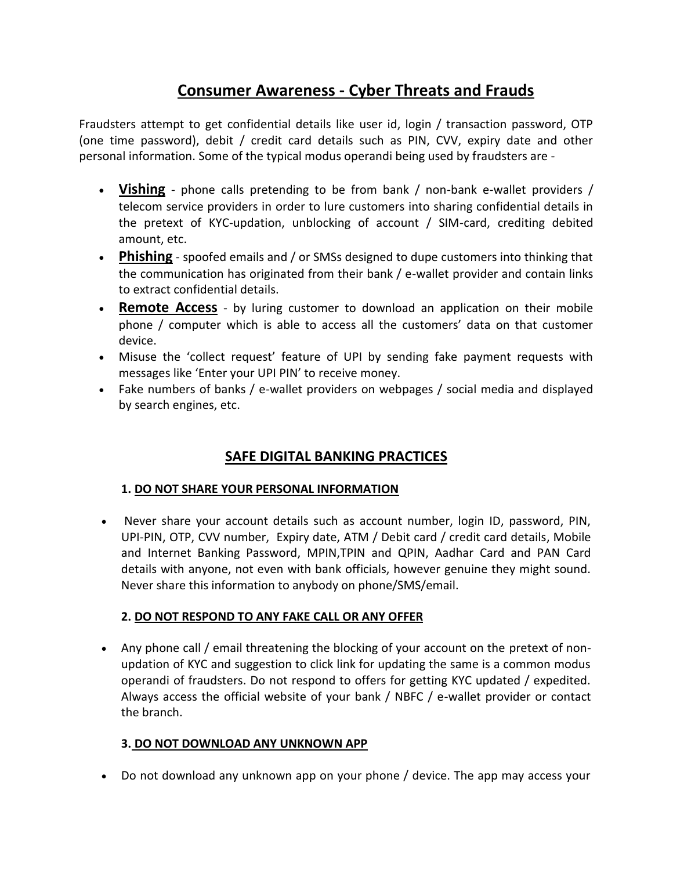# **Consumer Awareness - Cyber Threats and Frauds**

Fraudsters attempt to get confidential details like user id, login / transaction password, OTP (one time password), debit / credit card details such as PIN, CVV, expiry date and other personal information. Some of the typical modus operandi being used by fraudsters are -

- **Vishing** phone calls pretending to be from bank / non-bank e-wallet providers / telecom service providers in order to lure customers into sharing confidential details in the pretext of KYC-updation, unblocking of account / SIM-card, crediting debited amount, etc.
- **Phishing** spoofed emails and / or SMSs designed to dupe customers into thinking that the communication has originated from their bank / e-wallet provider and contain links to extract confidential details.
- **Remote Access** by luring customer to download an application on their mobile phone / computer which is able to access all the customers' data on that customer device.
- Misuse the 'collect request' feature of UPI by sending fake payment requests with messages like 'Enter your UPI PIN' to receive money.
- Fake numbers of banks / e-wallet providers on webpages / social media and displayed by search engines, etc.

## **SAFE DIGITAL BANKING PRACTICES**

## **1. DO NOT SHARE YOUR PERSONAL INFORMATION**

• Never share your account details such as account number, login ID, password, PIN, UPI-PIN, OTP, CVV number, Expiry date, ATM / Debit card / credit card details, Mobile and Internet Banking Password, MPIN,TPIN and QPIN, Aadhar Card and PAN Card details with anyone, not even with bank officials, however genuine they might sound. Never share this information to anybody on phone/SMS/email.

## **2. DO NOT RESPOND TO ANY FAKE CALL OR ANY OFFER**

 Any phone call / email threatening the blocking of your account on the pretext of nonupdation of KYC and suggestion to click link for updating the same is a common modus operandi of fraudsters. Do not respond to offers for getting KYC updated / expedited. Always access the official website of your bank / NBFC / e-wallet provider or contact the branch.

## **3. DO NOT DOWNLOAD ANY UNKNOWN APP**

Do not download any unknown app on your phone / device. The app may access your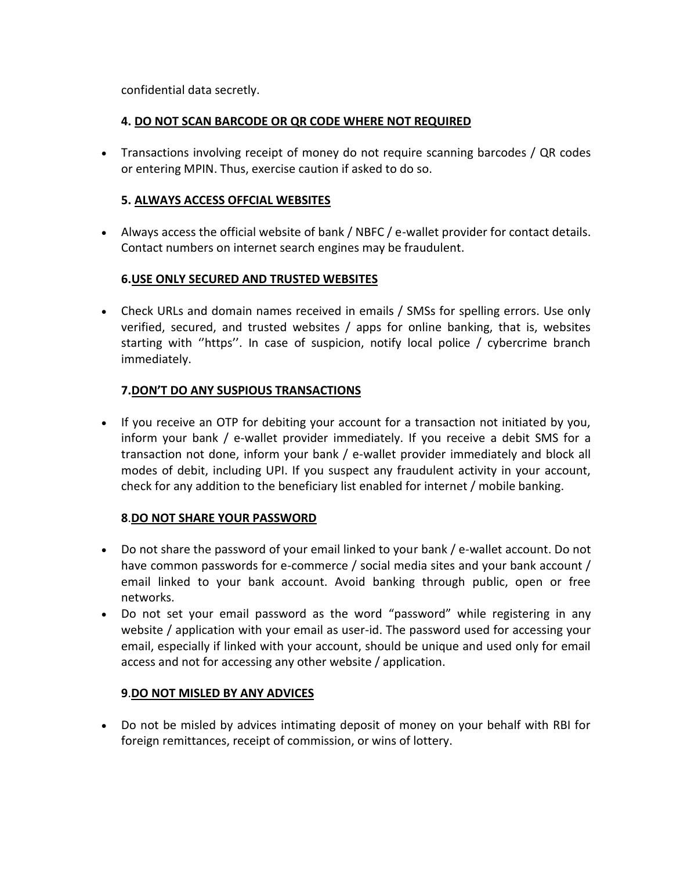confidential data secretly.

#### **4. DO NOT SCAN BARCODE OR QR CODE WHERE NOT REQUIRED**

 Transactions involving receipt of money do not require scanning barcodes / QR codes or entering MPIN. Thus, exercise caution if asked to do so.

#### **5. ALWAYS ACCESS OFFCIAL WEBSITES**

 Always access the official website of bank / NBFC / e-wallet provider for contact details. Contact numbers on internet search engines may be fraudulent.

#### **6.USE ONLY SECURED AND TRUSTED WEBSITES**

 Check URLs and domain names received in emails / SMSs for spelling errors. Use only verified, secured, and trusted websites / apps for online banking, that is, websites starting with ''https''. In case of suspicion, notify local police / cybercrime branch immediately.

#### **7.DON'T DO ANY SUSPIOUS TRANSACTIONS**

• If you receive an OTP for debiting your account for a transaction not initiated by you, inform your bank / e-wallet provider immediately. If you receive a debit SMS for a transaction not done, inform your bank / e-wallet provider immediately and block all modes of debit, including UPI. If you suspect any fraudulent activity in your account, check for any addition to the beneficiary list enabled for internet / mobile banking.

#### **8**.**DO NOT SHARE YOUR PASSWORD**

- Do not share the password of your email linked to your bank / e-wallet account. Do not have common passwords for e-commerce / social media sites and your bank account / email linked to your bank account. Avoid banking through public, open or free networks.
- Do not set your email password as the word "password" while registering in any website / application with your email as user-id. The password used for accessing your email, especially if linked with your account, should be unique and used only for email access and not for accessing any other website / application.

#### **9**.**DO NOT MISLED BY ANY ADVICES**

 Do not be misled by advices intimating deposit of money on your behalf with RBI for foreign remittances, receipt of commission, or wins of lottery.